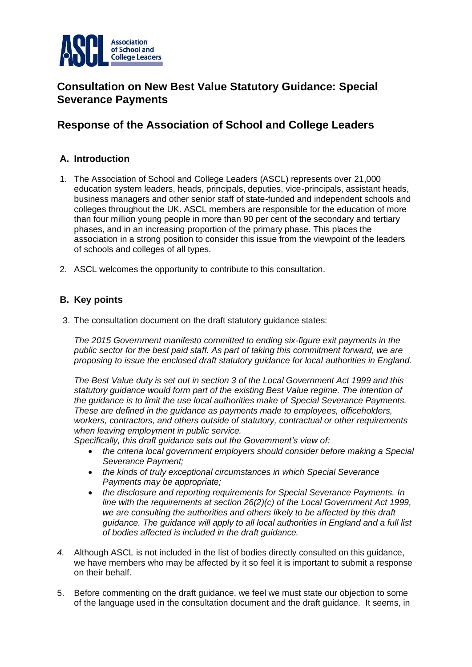

# **Consultation on New Best Value Statutory Guidance: Special Severance Payments**

## **Response of the Association of School and College Leaders**

## **A. Introduction**

- 1. The Association of School and College Leaders (ASCL) represents over 21,000 education system leaders, heads, principals, deputies, vice-principals, assistant heads, business managers and other senior staff of state-funded and independent schools and colleges throughout the UK. ASCL members are responsible for the education of more than four million young people in more than 90 per cent of the secondary and tertiary phases, and in an increasing proportion of the primary phase. This places the association in a strong position to consider this issue from the viewpoint of the leaders of schools and colleges of all types.
- 2. ASCL welcomes the opportunity to contribute to this consultation.

## **B. Key points**

3. The consultation document on the draft statutory guidance states:

*The 2015 Government manifesto committed to ending six-figure exit payments in the public sector for the best paid staff. As part of taking this commitment forward, we are proposing to issue the enclosed draft statutory guidance for local authorities in England.*

*The Best Value duty is set out in section 3 of the Local Government Act 1999 and this statutory guidance would form part of the existing Best Value regime. The intention of the guidance is to limit the use local authorities make of Special Severance Payments. These are defined in the guidance as payments made to employees, officeholders, workers, contractors, and others outside of statutory, contractual or other requirements when leaving employment in public service.*

*Specifically, this draft guidance sets out the Government's view of:*

- *the criteria local government employers should consider before making a Special Severance Payment;*
- *the kinds of truly exceptional circumstances in which Special Severance Payments may be appropriate;*
- *the disclosure and reporting requirements for Special Severance Payments. In line with the requirements at section 26(2)(c) of the Local Government Act 1999, we are consulting the authorities and others likely to be affected by this draft guidance. The guidance will apply to all local authorities in England and a full list of bodies affected is included in the draft guidance.*
- *4.* Although ASCL is not included in the list of bodies directly consulted on this guidance, we have members who may be affected by it so feel it is important to submit a response on their behalf.
- 5. Before commenting on the draft guidance, we feel we must state our objection to some of the language used in the consultation document and the draft guidance. It seems, in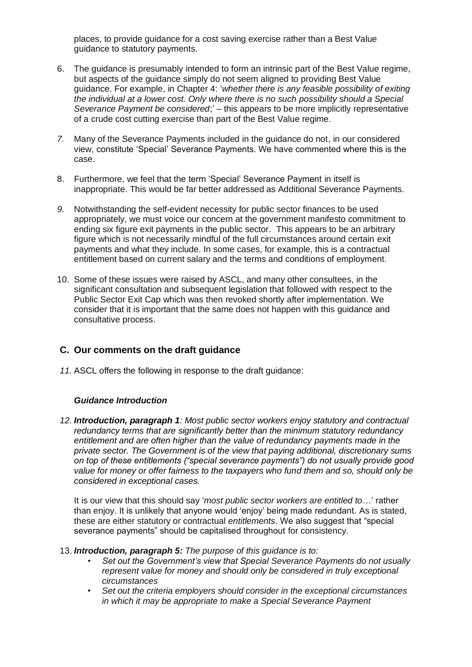places, to provide guidance for a cost saving exercise rather than a Best Value guidance to statutory payments.

- 6. The guidance is presumably intended to form an intrinsic part of the Best Value regime, but aspects of the guidance simply do not seem aligned to providing Best Value guidance. For example, in Chapter 4: '*whether there is any feasible possibility of exiting the individual at a lower cost. Only where there is no such possibility should a Special Severance Payment be considered*;' – this appears to be more implicitly representative of a crude cost cutting exercise than part of the Best Value regime.
- *7.* Many of the Severance Payments included in the guidance do not, in our considered view, constitute 'Special' Severance Payments. We have commented where this is the case.
- 8. Furthermore, we feel that the term 'Special' Severance Payment in itself is inappropriate. This would be far better addressed as Additional Severance Payments.
- *9.* Notwithstanding the self-evident necessity for public sector finances to be used appropriately, we must voice our concern at the government manifesto commitment to ending six figure exit payments in the public sector. This appears to be an arbitrary figure which is not necessarily mindful of the full circumstances around certain exit payments and what they include. In some cases, for example, this is a contractual entitlement based on current salary and the terms and conditions of employment.
- 10. Some of these issues were raised by ASCL, and many other consultees, in the significant consultation and subsequent legislation that followed with respect to the Public Sector Exit Cap which was then revoked shortly after implementation. We consider that it is important that the same does not happen with this guidance and consultative process.

## **C. Our comments on the draft guidance**

*11.* ASCL offers the following in response to the draft guidance:

#### *Guidance Introduction*

*12. Introduction, paragraph 1: Most public sector workers enjoy statutory and contractual redundancy terms that are significantly better than the minimum statutory redundancy entitlement and are often higher than the value of redundancy payments made in the private sector. The Government is of the view that paying additional, discretionary sums on top of these entitlements ("special severance payments") do not usually provide good value for money or offer fairness to the taxpayers who fund them and so, should only be considered in exceptional cases.*

It is our view that this should say '*most public sector workers are entitled to*…' rather than enjoy. It is unlikely that anyone would 'enjoy' being made redundant. As is stated, these are either statutory or contractual *entitlements*. We also suggest that "special severance payments" should be capitalised throughout for consistency.

- 13. *Introduction, paragraph 5: The purpose of this guidance is to:*
	- *Set out the Government's view that Special Severance Payments do not usually represent value for money and should only be considered in truly exceptional circumstances*
	- *Set out the criteria employers should consider in the exceptional circumstances in which it may be appropriate to make a Special Severance Payment*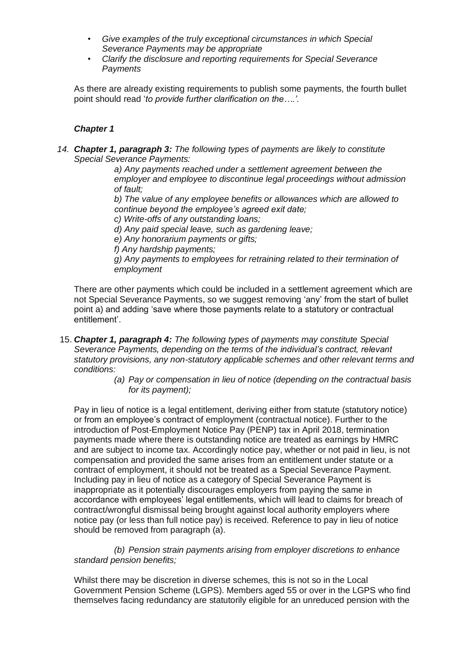- *Give examples of the truly exceptional circumstances in which Special Severance Payments may be appropriate*
- *Clarify the disclosure and reporting requirements for Special Severance Payments*

As there are already existing requirements to publish some payments, the fourth bullet point should read '*to provide further clarification on the….'.*

#### *Chapter 1*

*14. Chapter 1, paragraph 3: The following types of payments are likely to constitute Special Severance Payments:*

*a) Any payments reached under a settlement agreement between the employer and employee to discontinue legal proceedings without admission of fault;*

*b) The value of any employee benefits or allowances which are allowed to continue beyond the employee's agreed exit date;*

*c) Write-offs of any outstanding loans;*

*d) Any paid special leave, such as gardening leave;*

*e) Any honorarium payments or gifts;*

*f) Any hardship payments;*

*g) Any payments to employees for retraining related to their termination of employment*

There are other payments which could be included in a settlement agreement which are not Special Severance Payments, so we suggest removing 'any' from the start of bullet point a) and adding 'save where those payments relate to a statutory or contractual entitlement'.

- 15. *Chapter 1, paragraph 4: The following types of payments may constitute Special Severance Payments, depending on the terms of the individual's contract, relevant statutory provisions, any non-statutory applicable schemes and other relevant terms and conditions:*
	- *(a) Pay or compensation in lieu of notice (depending on the contractual basis for its payment);*

Pay in lieu of notice is a legal entitlement, deriving either from statute (statutory notice) or from an employee's contract of employment (contractual notice). Further to the introduction of Post-Employment Notice Pay (PENP) tax in April 2018, termination payments made where there is outstanding notice are treated as earnings by HMRC and are subject to income tax. Accordingly notice pay, whether or not paid in lieu, is not compensation and provided the same arises from an entitlement under statute or a contract of employment, it should not be treated as a Special Severance Payment. Including pay in lieu of notice as a category of Special Severance Payment is inappropriate as it potentially discourages employers from paying the same in accordance with employees' legal entitlements, which will lead to claims for breach of contract/wrongful dismissal being brought against local authority employers where notice pay (or less than full notice pay) is received. Reference to pay in lieu of notice should be removed from paragraph (a).

*(b) Pension strain payments arising from employer discretions to enhance standard pension benefits;*

Whilst there may be discretion in diverse schemes, this is not so in the Local Government Pension Scheme (LGPS). Members aged 55 or over in the LGPS who find themselves facing redundancy are statutorily eligible for an unreduced pension with the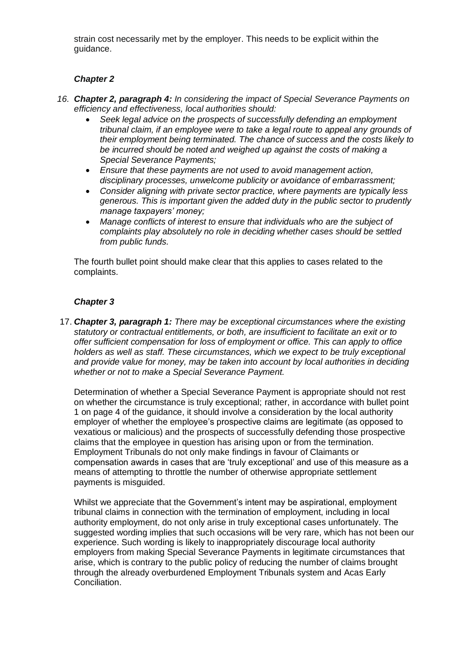strain cost necessarily met by the employer. This needs to be explicit within the guidance.

### *Chapter 2*

- *16. Chapter 2, paragraph 4: In considering the impact of Special Severance Payments on efficiency and effectiveness, local authorities should:*
	- *Seek legal advice on the prospects of successfully defending an employment tribunal claim, if an employee were to take a legal route to appeal any grounds of their employment being terminated. The chance of success and the costs likely to be incurred should be noted and weighed up against the costs of making a Special Severance Payments;*
	- *Ensure that these payments are not used to avoid management action, disciplinary processes, unwelcome publicity or avoidance of embarrassment;*
	- *Consider aligning with private sector practice, where payments are typically less generous. This is important given the added duty in the public sector to prudently manage taxpayers' money;*
	- *Manage conflicts of interest to ensure that individuals who are the subject of complaints play absolutely no role in deciding whether cases should be settled from public funds.*

The fourth bullet point should make clear that this applies to cases related to the complaints.

### *Chapter 3*

17. *Chapter 3, paragraph 1: There may be exceptional circumstances where the existing statutory or contractual entitlements, or both, are insufficient to facilitate an exit or to offer sufficient compensation for loss of employment or office. This can apply to office holders as well as staff. These circumstances, which we expect to be truly exceptional and provide value for money, may be taken into account by local authorities in deciding whether or not to make a Special Severance Payment.*

Determination of whether a Special Severance Payment is appropriate should not rest on whether the circumstance is truly exceptional; rather, in accordance with bullet point 1 on page 4 of the guidance, it should involve a consideration by the local authority employer of whether the employee's prospective claims are legitimate (as opposed to vexatious or malicious) and the prospects of successfully defending those prospective claims that the employee in question has arising upon or from the termination. Employment Tribunals do not only make findings in favour of Claimants or compensation awards in cases that are 'truly exceptional' and use of this measure as a means of attempting to throttle the number of otherwise appropriate settlement payments is misguided.

Whilst we appreciate that the Government's intent may be aspirational, employment tribunal claims in connection with the termination of employment, including in local authority employment, do not only arise in truly exceptional cases unfortunately. The suggested wording implies that such occasions will be very rare, which has not been our experience. Such wording is likely to inappropriately discourage local authority employers from making Special Severance Payments in legitimate circumstances that arise, which is contrary to the public policy of reducing the number of claims brought through the already overburdened Employment Tribunals system and Acas Early Conciliation.